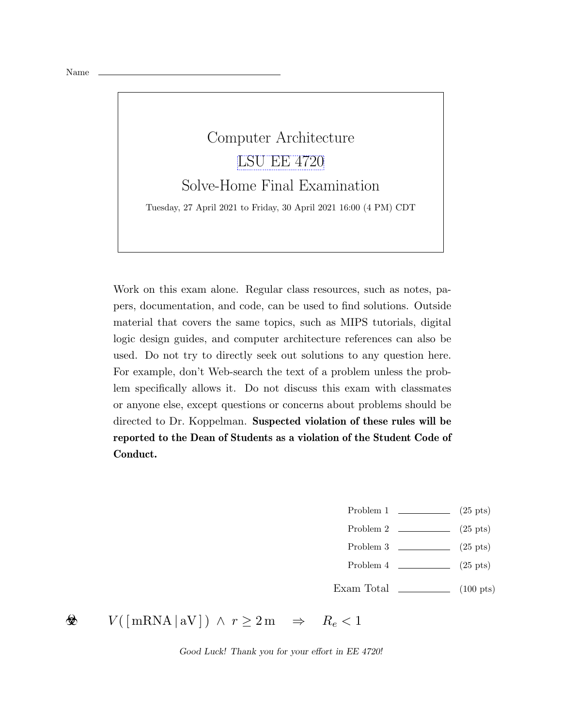## Computer Architecture [LSU EE 4720](https://www.ece.lsu.edu/ee4720/) Solve-Home Final Examination Tuesday, 27 April 2021 to Friday, 30 April 2021 16:00 (4 PM) CDT

Work on this exam alone. Regular class resources, such as notes, papers, documentation, and code, can be used to find solutions. Outside material that covers the same topics, such as MIPS tutorials, digital logic design guides, and computer architecture references can also be used. Do not try to directly seek out solutions to any question here. For example, don't Web-search the text of a problem unless the problem specifically allows it. Do not discuss this exam with classmates or anyone else, except questions or concerns about problems should be directed to Dr. Koppelman. Suspected violation of these rules will be reported to the Dean of Students as a violation of the Student Code of Conduct.

- Problem 1  $\qquad \qquad$  (25 pts)
- Problem 2  $\qquad \qquad$  (25 pts)
- Problem 3 (25 pts)
- Problem 4  $\qquad \qquad (25 \text{ pts})$
- Exam Total  $\qquad \qquad$  (100 pts)

 $V(\lceil \text{mRNA} \rceil \text{aV} \rceil) \land r \geq 2 \text{m} \Rightarrow R_e < 1$ ❀

Good Luck! Thank you for your effort in EE 4720!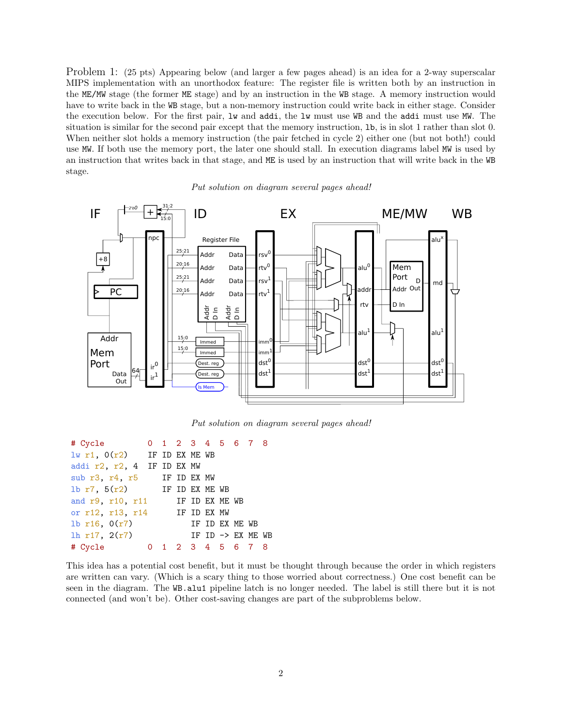Problem 1: (25 pts) Appearing below (and larger a few pages ahead) is an idea for a 2-way superscalar MIPS implementation with an unorthodox feature: The register file is written both by an instruction in the ME/MW stage (the former ME stage) and by an instruction in the WB stage. A memory instruction would have to write back in the WB stage, but a non-memory instruction could write back in either stage. Consider the execution below. For the first pair, lw and addi, the lw must use WB and the addi must use MW. The situation is similar for the second pair except that the memory instruction, lb, is in slot 1 rather than slot 0. When neither slot holds a memory instruction (the pair fetched in cycle 2) either one (but not both!) could use MW. If both use the memory port, the later one should stall. In execution diagrams label MW is used by an instruction that writes back in that stage, and ME is used by an instruction that will write back in the WB stage.



Put solution on diagram several pages ahead!

Put solution on diagram several pages ahead!

| # Cycle                                  |  | 0 1 2 3 4 5 6 7 8 |  |                   |  |
|------------------------------------------|--|-------------------|--|-------------------|--|
| $\frac{1}{w}$ r1, $0(r2)$ IF ID EX ME WB |  |                   |  |                   |  |
| addi r2, r2, 4 IF ID EX MW               |  |                   |  |                   |  |
| sub r3, r4, r5                           |  | IF ID EX MW       |  |                   |  |
| 1b $r7$ , $5(r2)$ IF ID EX ME WB         |  |                   |  |                   |  |
| and r9, r10, r11                         |  | IF ID EX ME WB    |  |                   |  |
| or r12, r13, r14 IF ID EX MW             |  |                   |  |                   |  |
| lb $r16$ , $0(r7)$                       |  |                   |  | IF ID EX ME WB    |  |
| lh $r17$ , $2(r7)$                       |  |                   |  | IF ID -> EX ME WB |  |
| # Cycle                                  |  | 1 2 3 4 5 6 7 8   |  |                   |  |

This idea has a potential cost benefit, but it must be thought through because the order in which registers are written can vary. (Which is a scary thing to those worried about correctness.) One cost benefit can be seen in the diagram. The WB.alu1 pipeline latch is no longer needed. The label is still there but it is not connected (and won't be). Other cost-saving changes are part of the subproblems below.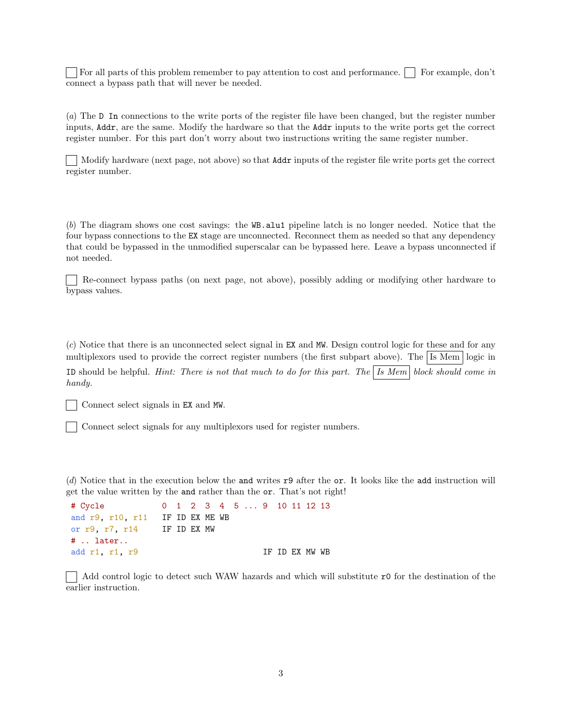For all parts of this problem remember to pay attention to cost and performance. For example, don't connect a bypass path that will never be needed.

(a) The D In connections to the write ports of the register file have been changed, but the register number inputs, Addr, are the same. Modify the hardware so that the Addr inputs to the write ports get the correct register number. For this part don't worry about two instructions writing the same register number.

Modify hardware (next page, not above) so that Addr inputs of the register file write ports get the correct register number.

(b) The diagram shows one cost savings: the WB.alu1 pipeline latch is no longer needed. Notice that the four bypass connections to the EX stage are unconnected. Reconnect them as needed so that any dependency that could be bypassed in the unmodified superscalar can be bypassed here. Leave a bypass unconnected if not needed.

Re-connect bypass paths (on next page, not above), possibly adding or modifying other hardware to bypass values.

(c) Notice that there is an unconnected select signal in EX and MW. Design control logic for these and for any multiplexors used to provide the correct register numbers (the first subpart above). The Is Mem logic in ID should be helpful. Hint: There is not that much to do for this part. The  $|$  Is Mem block should come in handy.

Connect select signals in EX and MW.

Connect select signals for any multiplexors used for register numbers.

(d) Notice that in the execution below the and writes r9 after the or. It looks like the add instruction will get the value written by the and rather than the or. That's not right!

```
# Cycle 0 1 2 3 4 5 ... 9 10 11 12 13
and r9, r10, r11 IF ID EX ME WB
or r9, r7, r14 IF ID EX MW
# .. later..
add r1, r1, r9 IF ID EX MW WB
```
Add control logic to detect such WAW hazards and which will substitute r0 for the destination of the earlier instruction.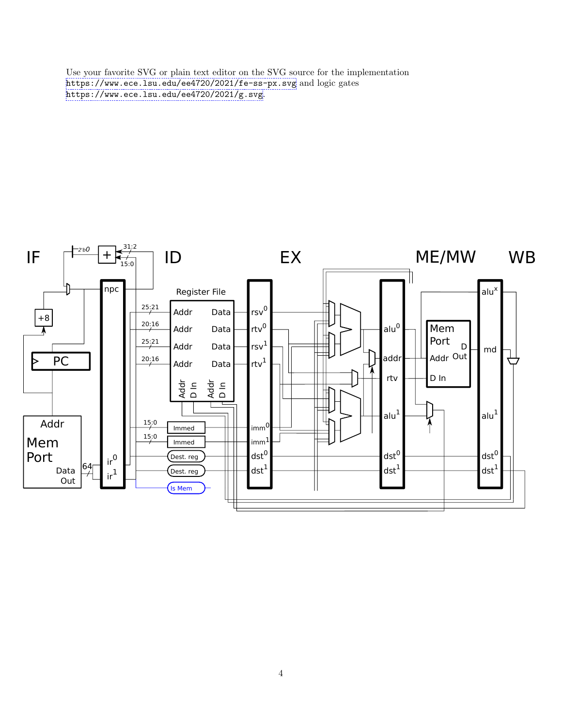Use your favorite SVG or plain text editor on the SVG source for the implementation <https://www.ece.lsu.edu/ee4720/2021/fe-ss-px.svg> and logic gates <https://www.ece.lsu.edu/ee4720/2021/g.svg>.

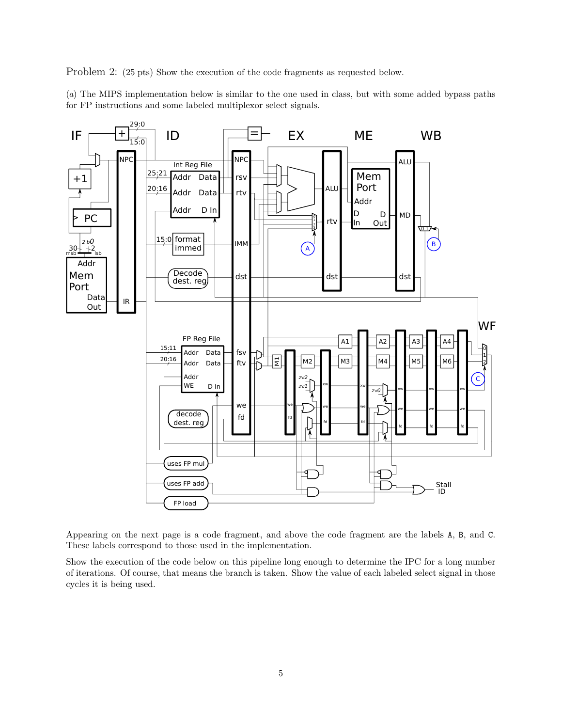Problem 2: (25 pts) Show the execution of the code fragments as requested below.

(a) The MIPS implementation below is similar to the one used in class, but with some added bypass paths for FP instructions and some labeled multiplexor select signals.



Appearing on the next page is a code fragment, and above the code fragment are the labels A, B, and C. These labels correspond to those used in the implementation.

Show the execution of the code below on this pipeline long enough to determine the IPC for a long number of iterations. Of course, that means the branch is taken. Show the value of each labeled select signal in those cycles it is being used.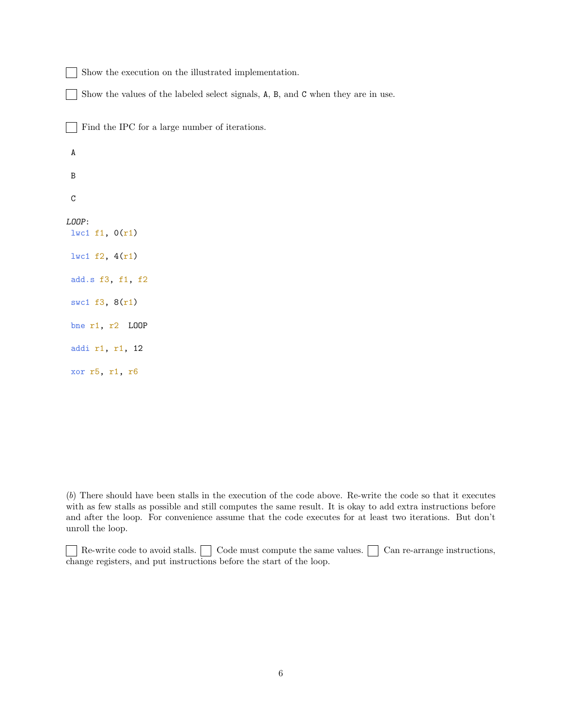$\Box$ Show the execution on the illustrated implementation.

Show the values of the labeled select signals, A, B, and C when they are in use.

Find the IPC for a large number of iterations.

A B C LOOP: lwc1 f1, 0(r1) lwc1 f2, 4(r1) add.s f3, f1, f2 swc1 f3, 8(r1) bne r1, r2 LOOP addi r1, r1, 12 xor r5, r1, r6

(b) There should have been stalls in the execution of the code above. Re-write the code so that it executes with as few stalls as possible and still computes the same result. It is okay to add extra instructions before and after the loop. For convenience assume that the code executes for at least two iterations. But don't unroll the loop.

Re-write code to avoid stalls.  $\Box$  Code must compute the same values.  $\Box$  Can re-arrange instructions, change registers, and put instructions before the start of the loop.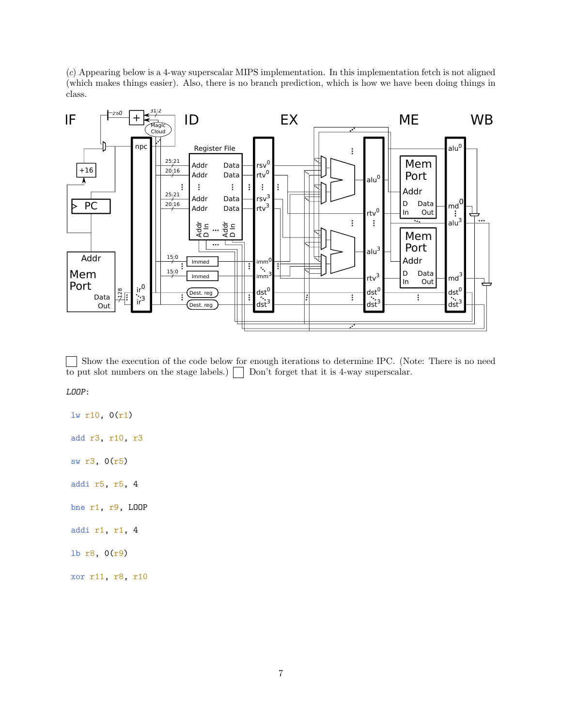(c) Appearing below is a 4-way superscalar MIPS implementation. In this implementation fetch is not aligned (which makes things easier). Also, there is no branch prediction, which is how we have been doing things in class.



 $\blacksquare$ Show the execution of the code below for enough iterations to determine IPC. (Note: There is no need to put slot numbers on the stage labels.)  $\Box$  Don't forget that it is 4-way superscalar.

LOOP:

lw r10, 0(r1) add r3, r10, r3 sw r3, 0(r5) addi r5, r5, 4 bne r1, r9, LOOP addi r1, r1, 4 lb r8, 0(r9)

xor r11, r8, r10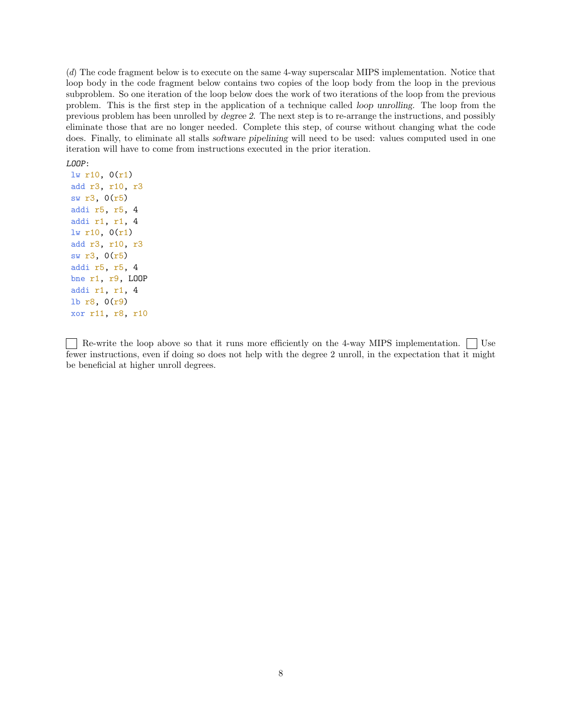(d) The code fragment below is to execute on the same 4-way superscalar MIPS implementation. Notice that loop body in the code fragment below contains two copies of the loop body from the loop in the previous subproblem. So one iteration of the loop below does the work of two iterations of the loop from the previous problem. This is the first step in the application of a technique called loop unrolling. The loop from the previous problem has been unrolled by degree 2. The next step is to re-arrange the instructions, and possibly eliminate those that are no longer needed. Complete this step, of course without changing what the code does. Finally, to eliminate all stalls software pipelining will need to be used: values computed used in one iteration will have to come from instructions executed in the prior iteration.

LOOP:

lw r10, 0(r1) add r3, r10, r3 sw r3, 0(r5) addi r5, r5, 4 addi r1, r1, 4 lw r10, 0(r1) add r3, r10, r3 sw r3, 0(r5) addi r5, r5, 4 bne r1, r9, LOOP addi r1, r1, 4 lb r8, 0(r9) xor r11, r8, r10

Re-write the loop above so that it runs more efficiently on the 4-way MIPS implementation.  $\vert$  Use fewer instructions, even if doing so does not help with the degree 2 unroll, in the expectation that it might be beneficial at higher unroll degrees.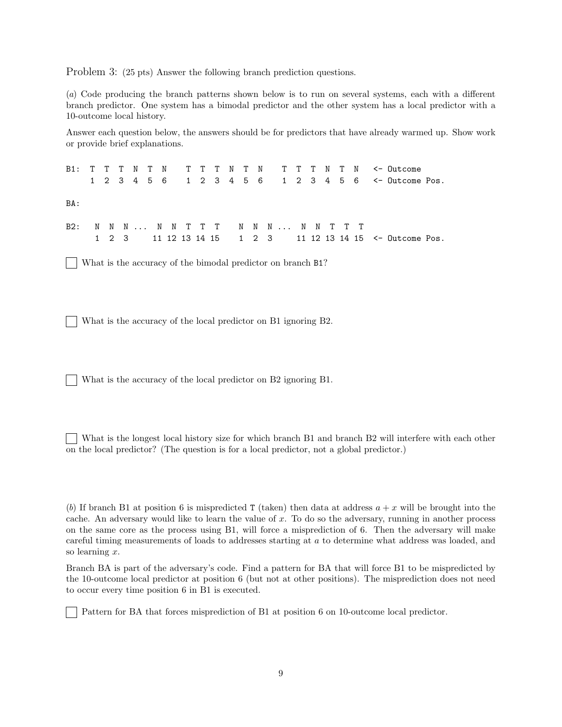Problem 3: (25 pts) Answer the following branch prediction questions.

(a) Code producing the branch patterns shown below is to run on several systems, each with a different branch predictor. One system has a bimodal predictor and the other system has a local predictor with a 10-outcome local history.

Answer each question below, the answers should be for predictors that have already warmed up. Show work or provide brief explanations.

B1: T T T N T N T T T N T N T T T N T N <- Outcome 1 2 3 4 5 6 1 2 3 4 5 6 1 2 3 4 5 6 <- Outcome Pos. BA: B2: N N N ... N N T T T N N N ... N N T T T 1 2 3 11 12 13 14 15 1 2 3 11 12 13 14 15 <- Outcome Pos.

What is the accuracy of the bimodal predictor on branch B1?

What is the accuracy of the local predictor on B1 ignoring B2.

What is the accuracy of the local predictor on B2 ignoring B1.

What is the longest local history size for which branch B1 and branch B2 will interfere with each other on the local predictor? (The question is for a local predictor, not a global predictor.)

(b) If branch B1 at position 6 is mispredicted T (taken) then data at address  $a + x$  will be brought into the cache. An adversary would like to learn the value of  $x$ . To do so the adversary, running in another process on the same core as the process using B1, will force a misprediction of 6. Then the adversary will make careful timing measurements of loads to addresses starting at a to determine what address was loaded, and so learning x.

Branch BA is part of the adversary's code. Find a pattern for BA that will force B1 to be mispredicted by the 10-outcome local predictor at position 6 (but not at other positions). The misprediction does not need to occur every time position 6 in B1 is executed.

Pattern for BA that forces misprediction of B1 at position 6 on 10-outcome local predictor.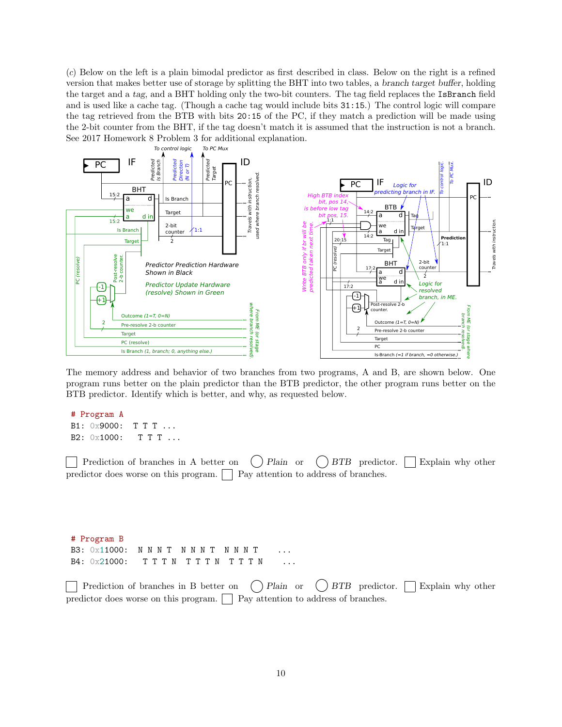(c) Below on the left is a plain bimodal predictor as first described in class. Below on the right is a refined version that makes better use of storage by splitting the BHT into two tables, a branch target buffer, holding the target and a tag, and a BHT holding only the two-bit counters. The tag field replaces the IsBranch field and is used like a cache tag. (Though a cache tag would include bits 31:15.) The control logic will compare the tag retrieved from the BTB with bits 20:15 of the PC, if they match a prediction will be made using the 2-bit counter from the BHT, if the tag doesn't match it is assumed that the instruction is not a branch. See 2017 Homework 8 Problem 3 for additional explanation.



The memory address and behavior of two branches from two programs, A and B, are shown below. One program runs better on the plain predictor than the BTB predictor, the other program runs better on the BTB predictor. Identify which is better, and why, as requested below.

```
# Program A
B1: 0x9000: T T T ...
B2: 0x1000: TTT ...
```
Prediction of branches in A better on  $\binom{}{}$  Plain or  $\binom{}{}$  BTB predictor. Explain why other predictor does worse on this program.  $\Box$  Pay attention to address of branches.

# Program B B3: 0x11000: N N N T N N N T N N N T B4: 0x21000: TTTN TTTN TTTN ...

Prediction of branches in B better on  $\binom{}{}$ Plain or  $\binom{}{}$ BTB predictor. Explain why other predictor does worse on this program.  $\vert$  Pay attention to address of branches.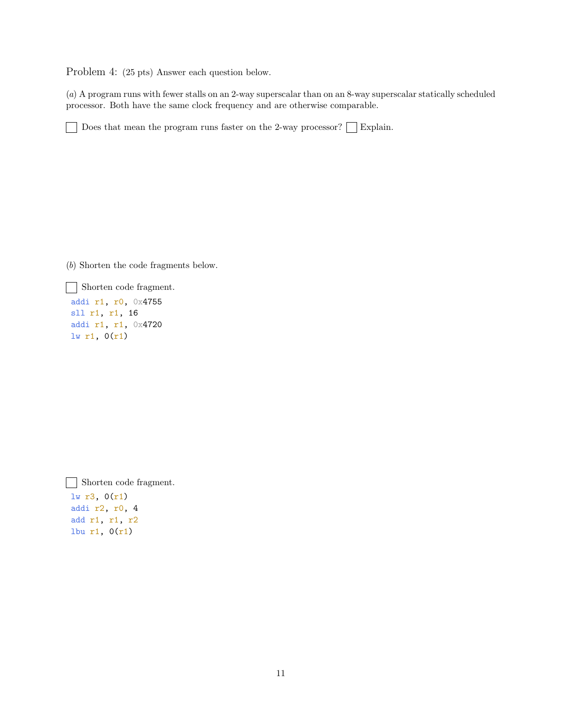Problem 4: (25 pts) Answer each question below.

(a) A program runs with fewer stalls on an 2-way superscalar than on an 8-way superscalar statically scheduled processor. Both have the same clock frequency and are otherwise comparable.

Does that mean the program runs faster on the 2-way processor?  $\Box$  Explain.

(b) Shorten the code fragments below.

Shorten code fragment.

addi r1, r0, 0x4755 sll r1, r1, 16 addi r1, r1, 0x4720  $lw$  r1,  $0(r1)$ 

Shorten code fragment. lw r3, 0(r1) addi r2, r0, 4 add r1, r1, r2 lbu r1, 0(r1)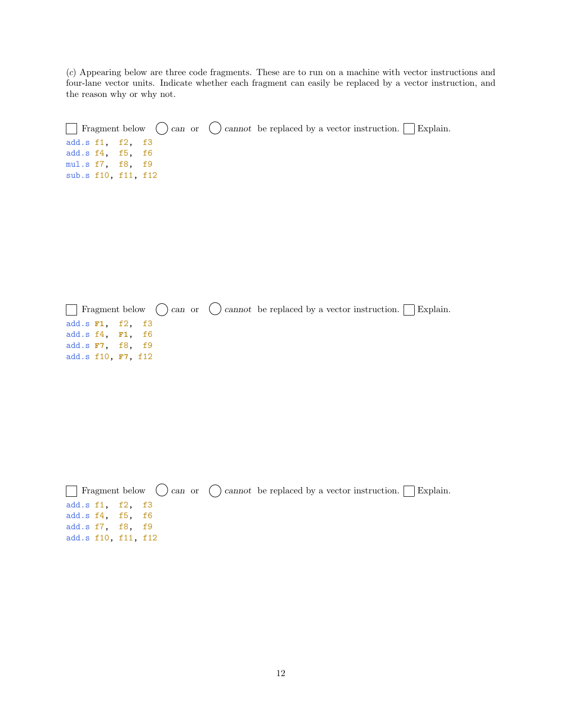(c) Appearing below are three code fragments. These are to run on a machine with vector instructions and four-lane vector units. Indicate whether each fragment can easily be replaced by a vector instruction, and the reason why or why not.

```
\Box Fragment below \bigcirc can or \bigcirc cannot be replaced by a vector instruction. \Box Explain.
add.s f1, f2, f3
add.s f4, f5, f6
mul.s f7, f8, f9
sub.s f10, f11, f12
```
 $\Box$  Fragment below  $\bigcirc$  cannot be replaced by a vector instruction.  $\Box$  Explain. add.s **F1**, f2, f3 add.s f4, **F1**, f6 add.s **F7**, f8, f9 add.s f10, **F7**, f12

|                     |  |  | $\Box$ Fragment below $\bigcirc$ can or $\bigcirc$ cannot be replaced by a vector instruction. $\Box$ Explain. |  |  |
|---------------------|--|--|----------------------------------------------------------------------------------------------------------------|--|--|
| add.s f1, f2, f3    |  |  |                                                                                                                |  |  |
| add.s f4, f5, f6    |  |  |                                                                                                                |  |  |
| add.s f7, f8, f9    |  |  |                                                                                                                |  |  |
| add.s f10, f11, f12 |  |  |                                                                                                                |  |  |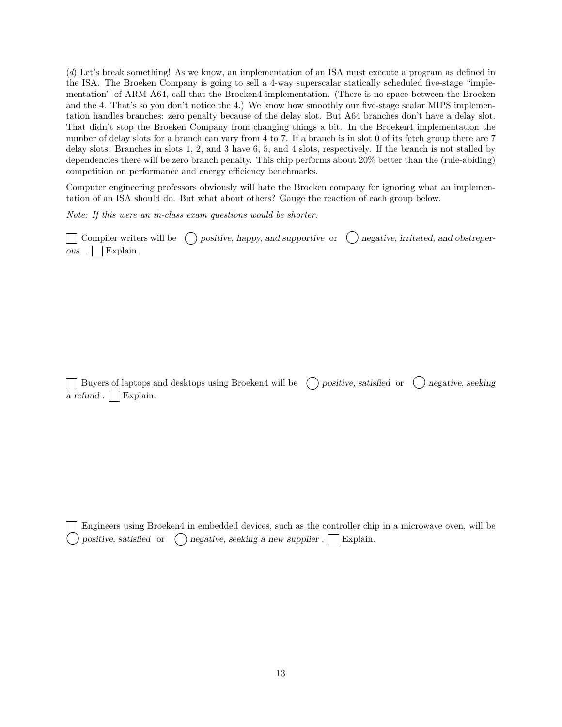(d) Let's break something! As we know, an implementation of an ISA must execute a program as defined in the ISA. The Broeken Company is going to sell a 4-way superscalar statically scheduled five-stage "implementation" of ARM A64, call that the Broeken4 implementation. (There is no space between the Broeken and the 4. That's so you don't notice the 4.) We know how smoothly our five-stage scalar MIPS implementation handles branches: zero penalty because of the delay slot. But A64 branches don't have a delay slot. That didn't stop the Broeken Company from changing things a bit. In the Broeken4 implementation the number of delay slots for a branch can vary from 4 to 7. If a branch is in slot 0 of its fetch group there are 7 delay slots. Branches in slots 1, 2, and 3 have 6, 5, and 4 slots, respectively. If the branch is not stalled by dependencies there will be zero branch penalty. This chip performs about 20% better than the (rule-abiding) competition on performance and energy efficiency benchmarks.

Computer engineering professors obviously will hate the Broeken company for ignoring what an implementation of an ISA should do. But what about others? Gauge the reaction of each group below.

Note: If this were an in-class exam questions would be shorter.

 $\Box$  Compiler writers will be  $\bigcirc$  positive, happy, and supportive or  $\bigcirc$  negative, irritated, and obstreper $ous$  . Explain.

Buyers of laptops and desktops using Broeken4 will be  $\Box$  positive, satisfied or  $\Box$  negative, seeking a refund .  $\Box$  Explain.

Engineers using Broeken4 in embedded devices, such as the controller chip in a microwave oven, will be positive, satisfied or  $\bigcirc$  negative, seeking a new supplier .  $\Box$  Explain.